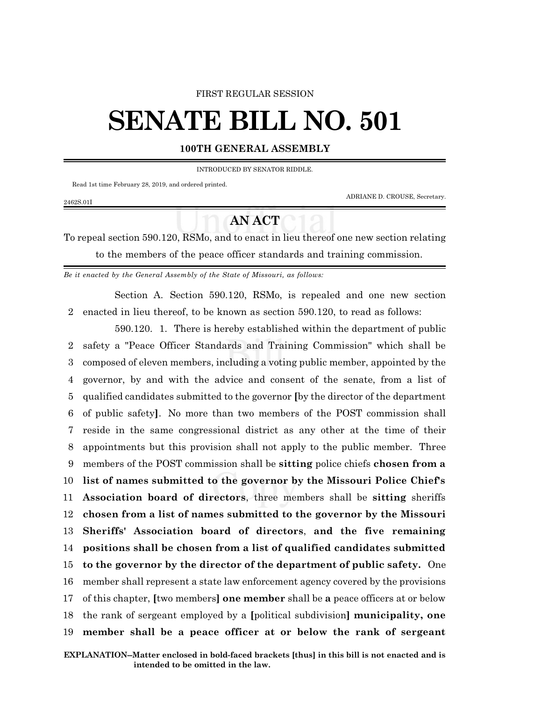## FIRST REGULAR SESSION

## **SENATE BILL NO. 501**

## **100TH GENERAL ASSEMBLY**

INTRODUCED BY SENATOR RIDDLE.

Read 1st time February 28, 2019, and ordered printed.

2462S.01I

ADRIANE D. CROUSE, Secretary.

## **AN ACT**

To repeal section 590.120, RSMo, and to enact in lieu thereof one new section relating to the members of the peace officer standards and training commission.

*Be it enacted by the General Assembly of the State of Missouri, as follows:*

Section A. Section 590.120, RSMo, is repealed and one new section 2 enacted in lieu thereof, to be known as section 590.120, to read as follows:

590.120. 1. There is hereby established within the department of public safety a "Peace Officer Standards and Training Commission" which shall be composed of eleven members, including a voting public member, appointed by the governor, by and with the advice and consent of the senate, from a list of qualified candidates submitted to the governor **[**by the director of the department of public safety**]**. No more than two members of the POST commission shall reside in the same congressional district as any other at the time of their appointments but this provision shall not apply to the public member. Three members of the POST commission shall be **sitting** police chiefs **chosen from a list of names submitted to the governor by the Missouri Police Chief's Association board of directors**, three members shall be **sitting** sheriffs **chosen from a list of names submitted to the governor by the Missouri Sheriffs' Association board of directors**, **and the five remaining positions shall be chosen from a list of qualified candidates submitted to the governor by the director of the department of public safety.** One member shall represent a state law enforcement agency covered by the provisions of this chapter, **[**two members**] one member** shall be **a** peace officers at or below the rank of sergeant employed by a **[**political subdivision**] municipality, one member shall be a peace officer at or below the rank of sergeant**